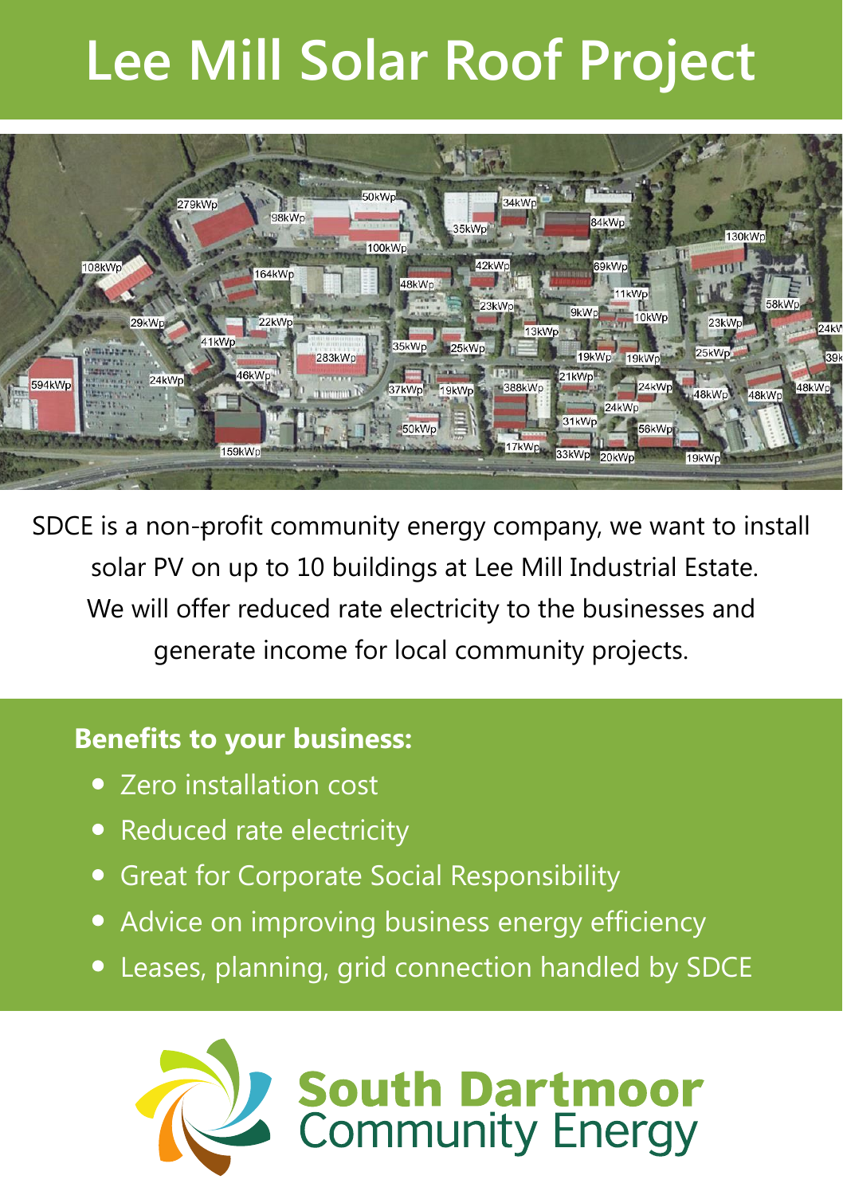# **Lee Mill Solar Roof Project**



- SDCE is a non-profit community energy company, we want to install solar PV on up to 10 buildings at Lee Mill Industrial Estate. We will offer reduced rate electricity to the businesses and generate income for local community projects.

# **Benefits to your business:**

- Zero installation cost
- Reduced rate electricity
- Great for Corporate Social Responsibility
- Advice on improving business energy efficiency
- Leases, planning, grid connection handled by SDCE

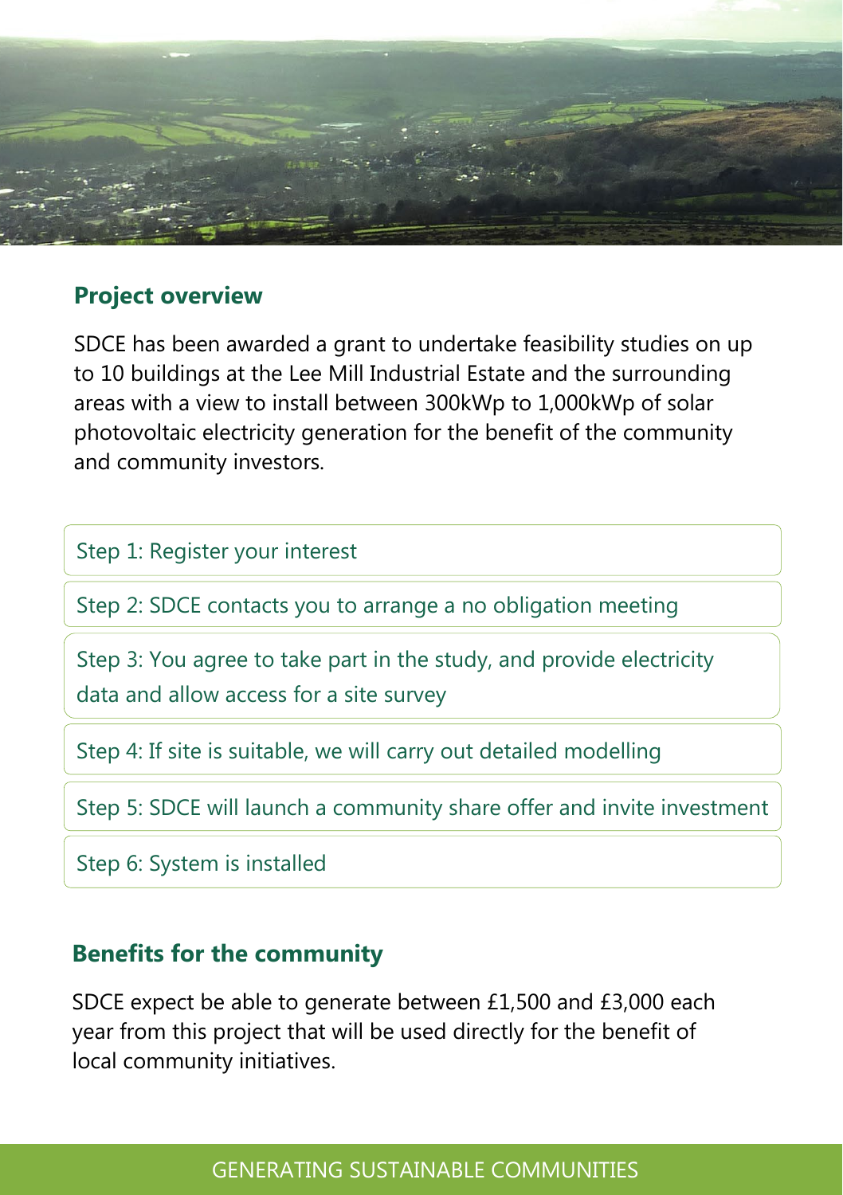

#### **Project overview**

SDCE has been awarded a grant to undertake feasibility studies on up to 10 buildings at the Lee Mill Industrial Estate and the surrounding areas with a view to install between 300kWp to 1,000kWp of solar photovoltaic electricity generation for the benefit of the community and community investors.

Step 1: Register your interest

Step 2: SDCE contacts you to arrange a no obligation meeting

Step 3: You agree to take part in the study, and provide electricity data and allow access for a site survey

Step 4: If site is suitable, we will carry out detailed modelling

Step 5: SDCE will launch a community share offer and invite investment

Step 6: System is installed

### **Benefits for the community**

SDCE expect be able to generate between £1,500 and £3,000 each year from this project that will be used directly for the benefit of local community initiatives.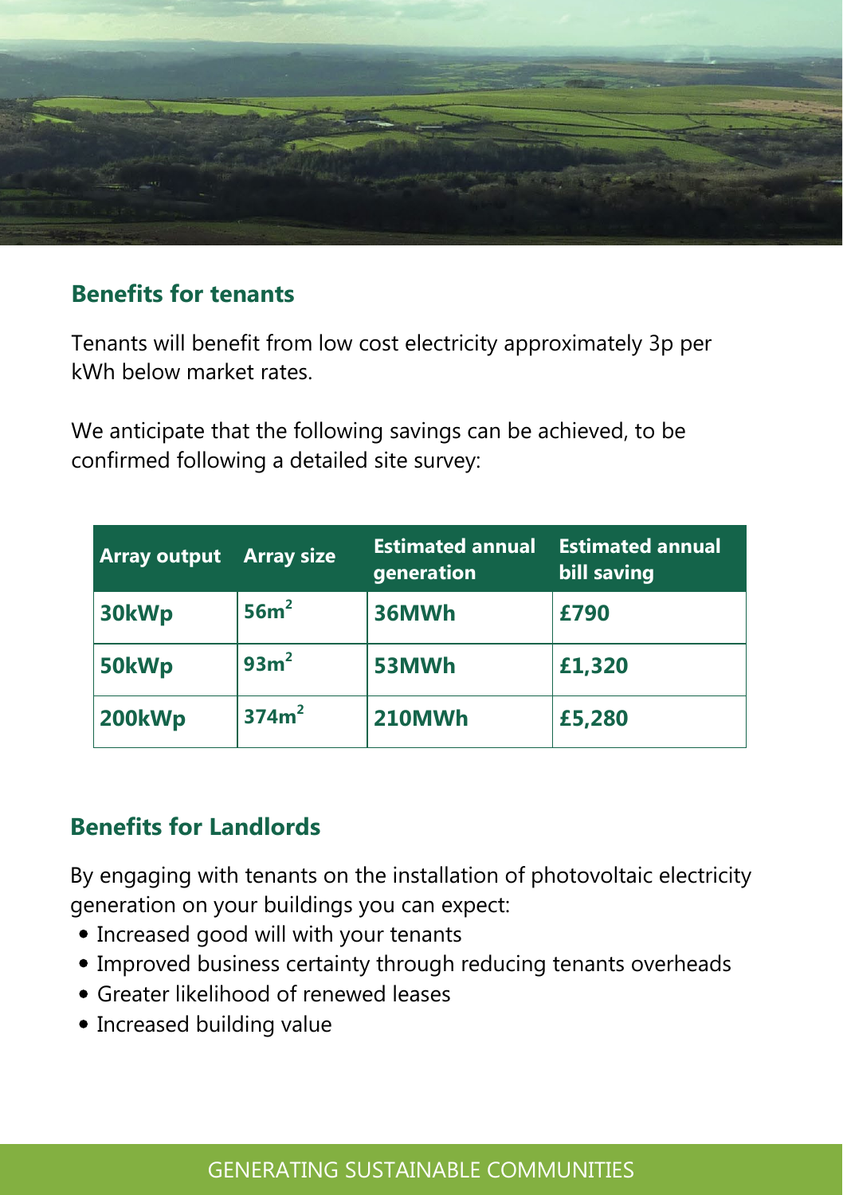

## **Benefits for tenants**

Tenants will benefit from low cost electricity approximately 3p per kWh below market rates.

We anticipate that the following savings can be achieved, to be confirmed following a detailed site survey:

| <b>Array output</b> | <b>Array size</b> | <b>Estimated annual</b><br>generation | <b>Estimated annual</b><br>bill saving |
|---------------------|-------------------|---------------------------------------|----------------------------------------|
| 30kWp               | 56m <sup>2</sup>  | 36MWh                                 | £790                                   |
| 50kWp               | 93m <sup>2</sup>  | 53MWh                                 | £1,320                                 |
| 200kWp              | 374m <sup>2</sup> | <b>210MWh</b>                         | £5,280                                 |

## **Benefits for Landlords**

By engaging with tenants on the installation of photovoltaic electricity generation on your buildings you can expect:

- Increased good will with your tenants
- Improved business certainty through reducing tenants overheads
- Greater likelihood of renewed leases
- Increased building value